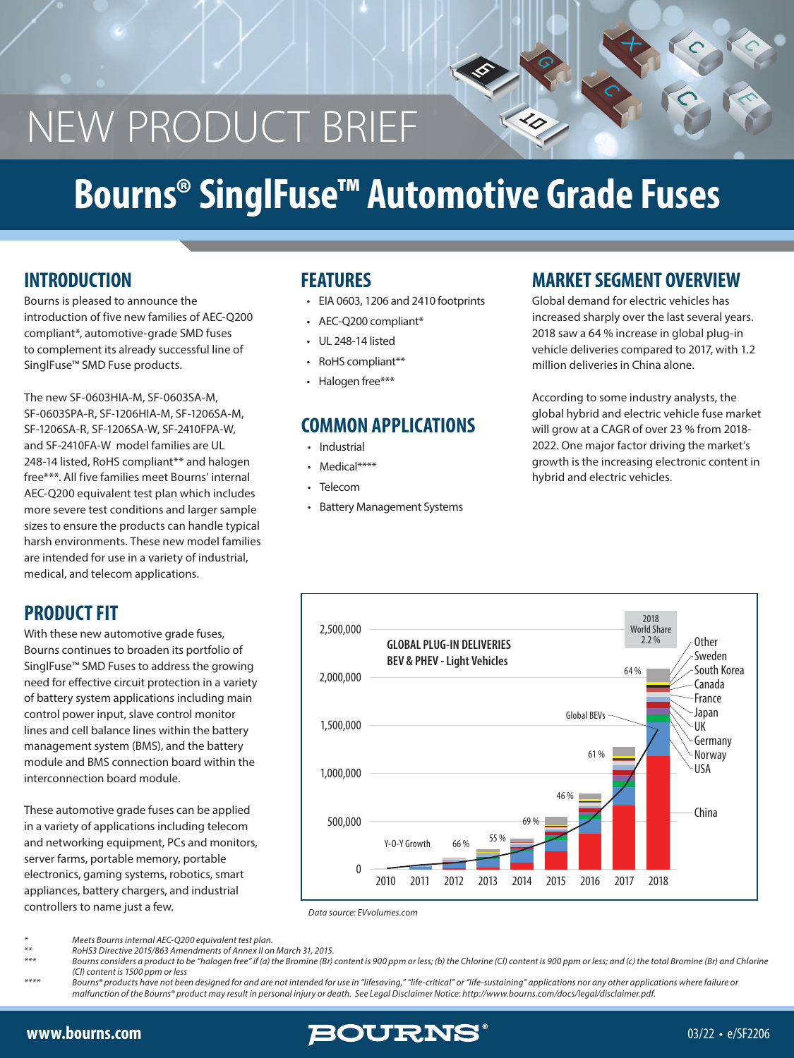# NEW PRODUCT BRIEF

# **Bourns® SinglFuse™ Automotive Grade Fuses**

Bourns is pleased to announce the introduction of five new families of AEC-Q200 compliant\*, automotive-grade SMD fuses to complement its already successful line of SinglFuse™ SMD Fuse products.

The new SF-0603HIA-M, SF-0603SA-M, SF-0603SPA-R, SF-1206HIA-M, SF-1206SA-M, SF-1206SA-R, SF-1206SA-W, SF-2410FPA-W, and SF-2410FA-W model families are UL 248-14 listed, RoHS compliant\*\* and halogen free\*\*\*. All five families meet Bourns' internal AEC-Q200 equivalent test plan which includes more severe test conditions and larger sample sizes to ensure the products can handle typical harsh environments. These new model families are intended for use in a variety of industrial, medical, and telecom applications.

#### **PRODUCT FIT**

With these new automotive grade fuses, Bourns continues to broaden its portfolio of SinglFuse™ SMD Fuses to address the growing need for effective circuit protection in a variety of battery system applications including main control power input, slave control monitor lines and cell balance lines within the battery management system (BMS), and the battery module and BMS connection board within the interconnection board module.

These automotive grade fuses can be applied in a variety of applications including telecom and networking equipment, PCs and monitors, server farms, portable memory, portable electronics, gaming systems, robotics, smart appliances, battery chargers, and industrial controllers to name just a few.

#### **FEATURES**

- EIA 0603, 1206 and 2410 footprints
- AEC-Q200 compliant\*
- UL 248-14 listed
- RoHS compliant\*\*
- Halogen free\*\*\*

#### **COMMON APPLICATIONS**

- Industrial
- Medical\*\*\*\*
- **Telecom**
- Battery Management Systems

#### **INTRODUCTION MARKET SEGMENT OVERVIEW**

 $\bm{\varphi}$ 

 $\prec$ 

Global demand for electric vehicles has increased sharply over the last several years. 2018 saw a 64 % increase in global plug-in vehicle deliveries compared to 2017, with 1.2 million deliveries in China alone.

According to some industry analysts, the global hybrid and electric vehicle fuse market will grow at a CAGR of over 23 % from 2018- 2022. One major factor driving the market's growth is the increasing electronic content in hybrid and electric vehicles.



*Data source: EVvolumes.com*

*\* Meets Bourns internal AEC-Q200 equivalent test plan.*

*\*\* RoHS3 Directive 2015/863 Amendments of Annex II on March 31, 2015.*

Bourns considers a product to be "halogen free" if (a) the Bromine (Br) content is 900 ppm or less; (b) the Chlorine (Cl) content is 900 ppm or less; and (c) the total Bromine (Br) and Chlorine *(Cl) content is 1500 ppm or less*

*\*\*\*\* Bourns® products have not been designed for and are not intended for use in "lifesaving," "life-critical" or "life-sustaining" applications nor any other applications where failure or malfunction of the Bourns® product may result in personal injury or death. See Legal Disclaimer Notice: http://www.bourns.com/docs/legal/disclaimer.pdf.*